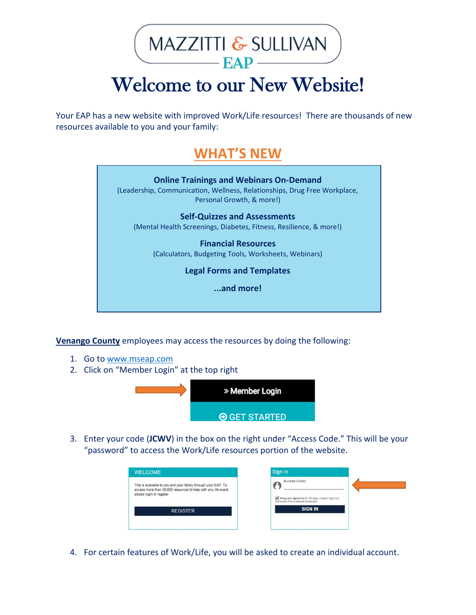MAZZITTI & SULLIVAN  $EAP$ 

## Welcome to our New Website!

Your EAP has a new website with improved Work/Life resources! There are thousands of new resources available to you and your family:

### **WHAT'S NEW**



**Venango County** employees may access the resources by doing the following:

- 1. Go t[o www.mseap.com](http://www.mseap.com/)
- 2. Click on "Member Login" at the top right



3. Enter your code (**JCWV**) in the box on the right under "Access Code." This will be your "password" to access the Work/Life resources portion of the website.

| <b>WELCOME</b>                                                                                                                                              | Sign In                                                                                               |
|-------------------------------------------------------------------------------------------------------------------------------------------------------------|-------------------------------------------------------------------------------------------------------|
| This is available to you and your family through your EAP. To<br>access more than 20,000 resources to help with any life event.<br>please login or regster. | Access Code:<br>Meep me signed in for 30 days unless I sign out.<br>(Uncheck if on a shared computer) |
| <b>REGISTER</b>                                                                                                                                             | <b>SIGN IN</b>                                                                                        |

4. For certain features of Work/Life, you will be asked to create an individual account.